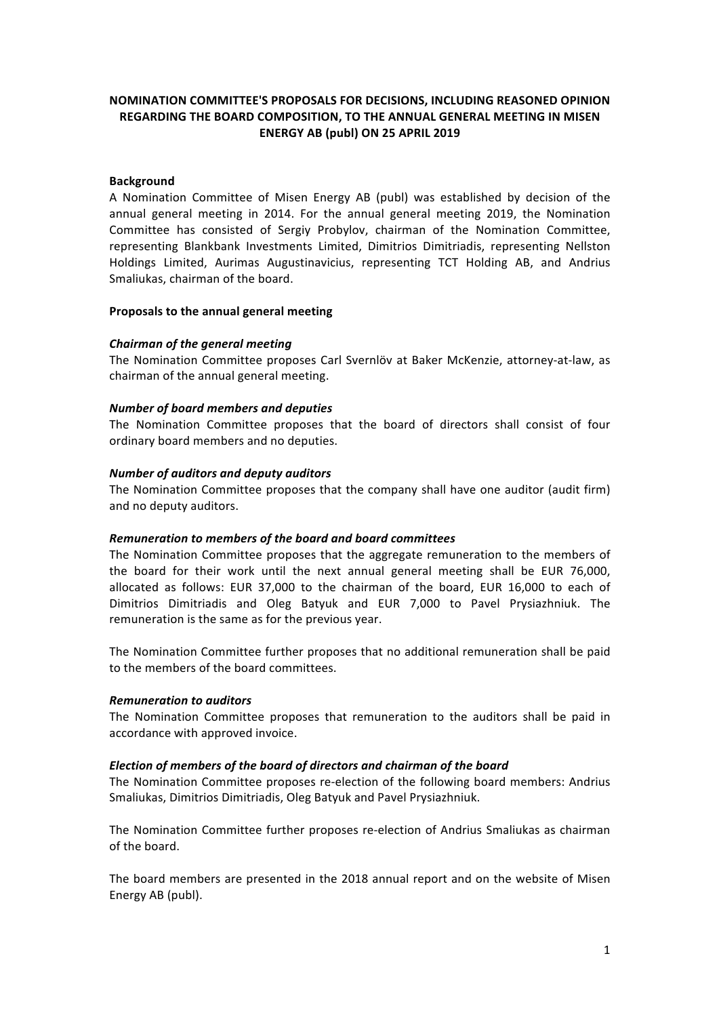# **NOMINATION COMMITTEE'S PROPOSALS FOR DECISIONS, INCLUDING REASONED OPINION REGARDING THE BOARD COMPOSITION, TO THE ANNUAL GENERAL MEETING IN MISEN ENERGY AB (publ) ON 25 APRIL 2019**

## **Background**

A Nomination Committee of Misen Energy AB (publ) was established by decision of the annual general meeting in 2014. For the annual general meeting 2019, the Nomination Committee has consisted of Sergiy Probylov, chairman of the Nomination Committee, representing Blankbank Investments Limited, Dimitrios Dimitriadis, representing Nellston Holdings Limited, Aurimas Augustinavicius, representing TCT Holding AB, and Andrius Smaliukas, chairman of the board.

## **Proposals to the annual general meeting**

## *Chairman of the general meeting*

The Nomination Committee proposes Carl Svernlöv at Baker McKenzie, attorney-at-law, as chairman of the annual general meeting.

## *Number of board members and deputies*

The Nomination Committee proposes that the board of directors shall consist of four ordinary board members and no deputies.

## *Number of auditors and deputy auditors*

The Nomination Committee proposes that the company shall have one auditor (audit firm) and no deputy auditors.

#### *Remuneration to members of the board and board committees*

The Nomination Committee proposes that the aggregate remuneration to the members of the board for their work until the next annual general meeting shall be EUR 76,000, allocated as follows: EUR 37,000 to the chairman of the board, EUR 16,000 to each of Dimitrios Dimitriadis and Oleg Batyuk and EUR 7,000 to Pavel Prysiazhniuk. The remuneration is the same as for the previous year.

The Nomination Committee further proposes that no additional remuneration shall be paid to the members of the board committees.

#### *Remuneration to auditors*

The Nomination Committee proposes that remuneration to the auditors shall be paid in accordance with approved invoice.

## *Election of members of the board of directors and chairman of the board*

The Nomination Committee proposes re-election of the following board members: Andrius Smaliukas, Dimitrios Dimitriadis, Oleg Batyuk and Pavel Prysiazhniuk.

The Nomination Committee further proposes re-election of Andrius Smaliukas as chairman of the board.

The board members are presented in the 2018 annual report and on the website of Misen Energy AB (publ).